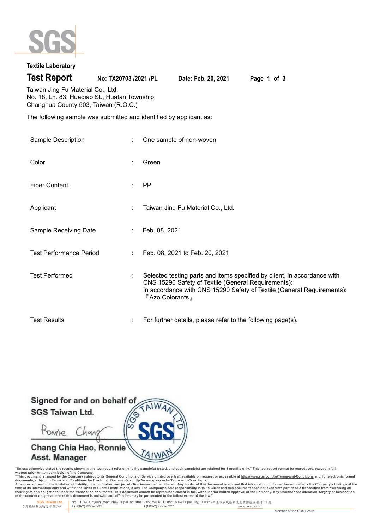

# **Textile Laboratory**

**Test Report No: TX20703 /2021 /PL Date: Feb. 20, 2021 Page 1 of 3**

Taiwan Jing Fu Material Co., Ltd. No. 18, Ln. 83, Huaqiao St., Huatan Township, Changhua County 503, Taiwan (R.O.C.)

The following sample was submitted and identified by applicant as:

| Sample Description             | ÷ | One sample of non-woven                                                                                                                                                                                                        |
|--------------------------------|---|--------------------------------------------------------------------------------------------------------------------------------------------------------------------------------------------------------------------------------|
| Color                          |   | Green                                                                                                                                                                                                                          |
| <b>Fiber Content</b>           |   | <b>PP</b>                                                                                                                                                                                                                      |
| Applicant                      |   | Taiwan Jing Fu Material Co., Ltd.                                                                                                                                                                                              |
| Sample Receiving Date          |   | Feb. 08, 2021                                                                                                                                                                                                                  |
| <b>Test Performance Period</b> |   | Feb. 08, 2021 to Feb. 20, 2021                                                                                                                                                                                                 |
| <b>Test Performed</b>          |   | Selected testing parts and items specified by client, in accordance with<br>CNS 15290 Safety of Textile (General Requirements):<br>In accordance with CNS 15290 Safety of Textile (General Requirements):<br>F Azo Colorants 』 |
| <b>Test Results</b>            |   | For further details, please refer to the following page(s).                                                                                                                                                                    |



"Unless otherwise stated the results shown in this test report refer only to the sample(s) tested, and such sample(s) are retained for 1 months only." This test report cannot be reproduced, except in full,<br>without prior wr

documents, subject to Terms and Conditions for Electronic Documents at <u>http://www.sqs.com.tw/Terms-and-Conditions</u><br>Attention is drawn to the limitation of liability, indemnification and jurisdiction issues defined threin.

 **SGS Taiwan Ltd.** No. 31, Wu Chyuan Road, New Taipei Industrial Park, Wu Ku District, New Taipei City, Taiwan /新北市五股區新北產業園區五權路 31 號 台灣檢驗科技股份有限公司 **t** (886-2) 2299-3939 **f** (886-2) 2299-3227 www.tw.sgs.com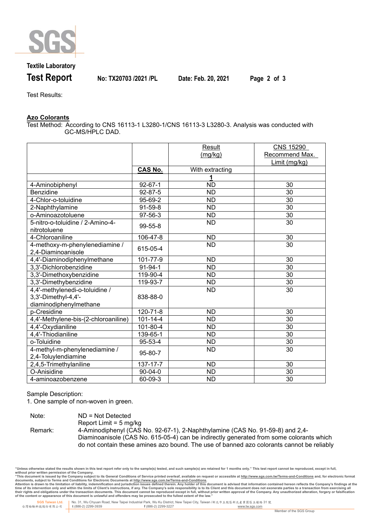

### **Textile Laboratory**

**Test Report No: TX20703 /2021 /PL Date: Feb. 20, 2021 Page 2 of 3**

Test Results:

#### **Azo Colorants**

Test Method: According to CNS 16113-1 L3280-1/CNS 16113-3 L3280-3. Analysis was conducted with GC-MS/HPLC DAD.

|                                                                                 |                | Result<br>(mg/kg) | <b>CNS 15290</b><br>Recommend Max.<br>Limit (mg/kg) |
|---------------------------------------------------------------------------------|----------------|-------------------|-----------------------------------------------------|
|                                                                                 | <b>CAS No.</b> | With extracting   |                                                     |
|                                                                                 |                |                   |                                                     |
| 4-Aminobiphenyl                                                                 | $92 - 67 - 1$  | <b>ND</b>         | 30                                                  |
| Benzidine                                                                       | 92-87-5        | <b>ND</b>         | 30                                                  |
| 4-Chlor-o-toluidine                                                             | 95-69-2        | <b>ND</b>         | 30                                                  |
| 2-Naphthylamine                                                                 | 91-59-8        | <b>ND</b>         | 30                                                  |
| o-Aminoazotoluene                                                               | 97-56-3        | <b>ND</b>         | 30                                                  |
| 5-nitro-o-toluidine / 2-Amino-4-<br>nitrotoluene                                | 99-55-8        | <b>ND</b>         | 30                                                  |
| 4-Chloroaniline                                                                 | 106-47-8       | <b>ND</b>         | 30                                                  |
| 4-methoxy-m-phenylenediamine /<br>2,4-Diaminoanisole                            | 615-05-4       | <b>ND</b>         | 30                                                  |
| 4,4'-Diaminodiphenylmethane                                                     | 101-77-9       | <b>ND</b>         | 30                                                  |
| 3,3'-Dichlorobenzidine                                                          | $91 - 94 - 1$  | <b>ND</b>         | 30                                                  |
| 3,3'-Dimethoxybenzidine                                                         | 119-90-4       | <b>ND</b>         | 30                                                  |
| 3,3'-Dimethybenzidine                                                           | 119-93-7       | <b>ND</b>         | 30                                                  |
| 4,4'-methylenedi-o-toluidine /<br>3,3'-Dimethyl-4,4'-<br>diaminodiphenylmethane | 838-88-0       | <b>ND</b>         | 30                                                  |
| p-Cresidine                                                                     | 120-71-8       | <b>ND</b>         | 30                                                  |
| 4,4'-Methylene-bis-(2-chloroaniline)                                            | $101 - 14 - 4$ | <b>ND</b>         | 30                                                  |
| 4,4'-Oxydianiline                                                               | $101 - 80 - 4$ | <b>ND</b>         | $\overline{30}$                                     |
| 4,4'-Thiodianiline                                                              | 139-65-1       | <b>ND</b>         | 30                                                  |
| o-Toluidine                                                                     | $95 - 53 - 4$  | <b>ND</b>         | $\overline{30}$                                     |
| 4-methyl-m-phenylenediamine /<br>2,4-Toluylendiamine                            | 95-80-7        | <b>ND</b>         | 30                                                  |
| 2,4,5-Trimethylaniline                                                          | 137-17-7       | <b>ND</b>         | 30                                                  |
| O-Anisidine                                                                     | 90-04-0        | <b>ND</b>         | 30                                                  |
| 4-aminoazobenzene                                                               | 60-09-3        | <b>ND</b>         | 30                                                  |

Sample Description:

1. One sample of non-woven in green.

| Note:   | $ND = Not$ Detected                                                                       |
|---------|-------------------------------------------------------------------------------------------|
|         | Report Limit = $5 \text{ ma/ka}$                                                          |
| Remark: | 4-Aminodiphenyl (CAS No. 92-67-1), 2-Naphthylamine (CAS No. 91-59-8) and 2,4-             |
|         | Diaminoanisole (CAS No. 615-05-4) can be indirectly generated from some colorants which   |
|         | do not contain these amines azo bound. The use of banned azo colorants cannot be reliably |

"Unless otherwise stated the results shown in this test report refer only to the sample(s) tested, and such sample(s) are retained for 1 months only." This test report cannot be reproduced, except in full,<br>without prior wr

documents, subject to Terms and Conditions for Electronic Documents at <u>http://www.sqs.com.tw/Terms-and-Conditions</u><br>Attention is drawn to the limitation of liability, indemnification and jurisdiction issues defined threin.